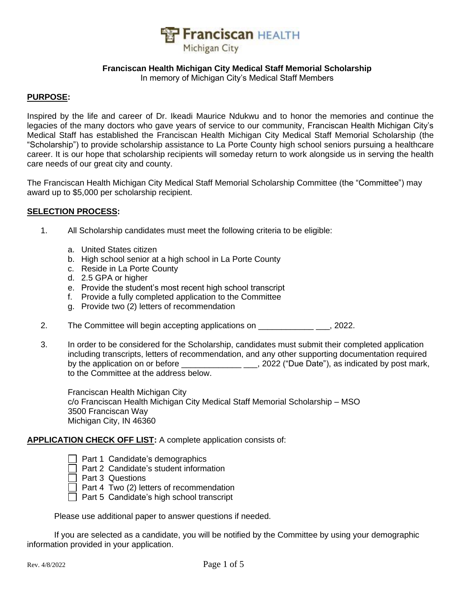

#### **Franciscan Health Michigan City Medical Staff Memorial Scholarship**

In memory of Michigan City's Medical Staff Members

#### **PURPOSE:**

Inspired by the life and career of Dr. Ikeadi Maurice Ndukwu and to honor the memories and continue the legacies of the many doctors who gave years of service to our community, Franciscan Health Michigan City's Medical Staff has established the Franciscan Health Michigan City Medical Staff Memorial Scholarship (the "Scholarship") to provide scholarship assistance to La Porte County high school seniors pursuing a healthcare career. It is our hope that scholarship recipients will someday return to work alongside us in serving the health care needs of our great city and county.

The Franciscan Health Michigan City Medical Staff Memorial Scholarship Committee (the "Committee") may award up to \$5,000 per scholarship recipient.

#### **SELECTION PROCESS:**

- 1. All Scholarship candidates must meet the following criteria to be eligible:
	- a. United States citizen
	- b. High school senior at a high school in La Porte County
	- c. Reside in La Porte County
	- d. 2.5 GPA or higher
	- e. Provide the student's most recent high school transcript
	- f. Provide a fully completed application to the Committee
	- g. Provide two (2) letters of recommendation
- 2. The Committee will begin accepting applications on **The Committee will begin accepting applications** on
- 3. In order to be considered for the Scholarship, candidates must submit their completed application including transcripts, letters of recommendation, and any other supporting documentation required by the application on or before \_\_\_\_\_\_\_\_\_\_\_\_\_\_\_\_\_\_\_\_\_, 2022 ("Due Date"), as indicated by post mark, to the Committee at the address below.

Franciscan Health Michigan City c/o Franciscan Health Michigan City Medical Staff Memorial Scholarship – MSO 3500 Franciscan Way Michigan City, IN 46360

#### **APPLICATION CHECK OFF LIST:** A complete application consists of:

- $\Box$  Part 1 Candidate's demographics
- $\Box$  Part 2 Candidate's student information
- $\Box$  Part 3 Questions
- $\Box$  Part 4 Two (2) letters of recommendation
- $\overline{\Box}$  Part 5 Candidate's high school transcript

Please use additional paper to answer questions if needed.

If you are selected as a candidate, you will be notified by the Committee by using your demographic information provided in your application.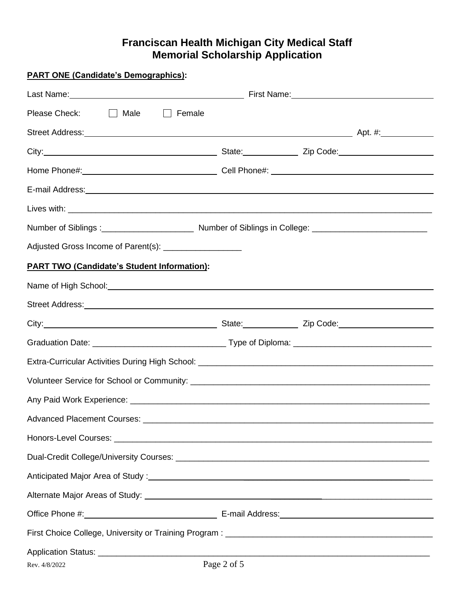# **Franciscan Health Michigan City Medical Staff Memorial Scholarship Application**

| <b>PART ONE (Candidate's Demographics):</b>                                                                                                                                                                                    |             |  |  |
|--------------------------------------------------------------------------------------------------------------------------------------------------------------------------------------------------------------------------------|-------------|--|--|
|                                                                                                                                                                                                                                |             |  |  |
| Please Check: Male   Female                                                                                                                                                                                                    |             |  |  |
| Street Address: Andreas: All Andreas: All Andreas All Andreas Apt. #: Apt. #: Apt. #:                                                                                                                                          |             |  |  |
|                                                                                                                                                                                                                                |             |  |  |
|                                                                                                                                                                                                                                |             |  |  |
| E-mail Address: Note and the set of the set of the set of the set of the set of the set of the set of the set of the set of the set of the set of the set of the set of the set of the set of the set of the set of the set of |             |  |  |
|                                                                                                                                                                                                                                |             |  |  |
| Number of Siblings: [100] Number of Siblings in College: [2010] Number of Siblings in College: [2010] Number of Siblings: [2010] Number of Siblings: [2010] Number of Siblings: [2010] Number of Siblings: [2010] Number of Si |             |  |  |
| Adjusted Gross Income of Parent(s): ___________________                                                                                                                                                                        |             |  |  |
| <b>PART TWO (Candidate's Student Information):</b>                                                                                                                                                                             |             |  |  |
|                                                                                                                                                                                                                                |             |  |  |
| Street Address: No. 2006. The Contract of the Contract of the Contract of the Contract of the Contract of the Contract of the Contract of the Contract of the Contract of the Contract of the Contract of the Contract of the  |             |  |  |
| City: 2000 2010 2010 2010 2010 2010 21: State: 2010 21: 2ip Code: 2010 21: 2ip Code:                                                                                                                                           |             |  |  |
|                                                                                                                                                                                                                                |             |  |  |
|                                                                                                                                                                                                                                |             |  |  |
|                                                                                                                                                                                                                                |             |  |  |
|                                                                                                                                                                                                                                |             |  |  |
|                                                                                                                                                                                                                                |             |  |  |
|                                                                                                                                                                                                                                |             |  |  |
|                                                                                                                                                                                                                                |             |  |  |
| Anticipated Major Area of Study: 1988 and 2008 and 2008 and 2008 and 2008 and 2008 and 2008 and 2008 and 2008                                                                                                                  |             |  |  |
|                                                                                                                                                                                                                                |             |  |  |
|                                                                                                                                                                                                                                |             |  |  |
|                                                                                                                                                                                                                                |             |  |  |
| Rev. 4/8/2022                                                                                                                                                                                                                  | Page 2 of 5 |  |  |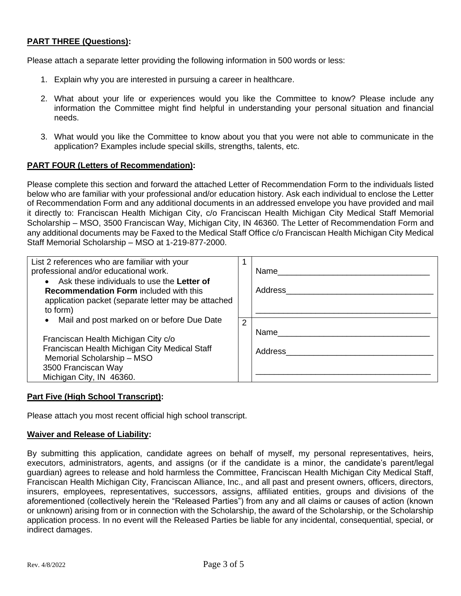## **PART THREE (Questions):**

Please attach a separate letter providing the following information in 500 words or less:

- 1. Explain why you are interested in pursuing a career in healthcare.
- 2. What about your life or experiences would you like the Committee to know? Please include any information the Committee might find helpful in understanding your personal situation and financial needs.
- 3. What would you like the Committee to know about you that you were not able to communicate in the application? Examples include special skills, strengths, talents, etc.

#### **PART FOUR (Letters of Recommendation):**

Please complete this section and forward the attached Letter of Recommendation Form to the individuals listed below who are familiar with your professional and/or education history. Ask each individual to enclose the Letter of Recommendation Form and any additional documents in an addressed envelope you have provided and mail it directly to: Franciscan Health Michigan City, c/o Franciscan Health Michigan City Medical Staff Memorial Scholarship – MSO, 3500 Franciscan Way, Michigan City, IN 46360. The Letter of Recommendation Form and any additional documents may be Faxed to the Medical Staff Office c/o Franciscan Health Michigan City Medical Staff Memorial Scholarship – MSO at 1-219-877-2000.

| List 2 references who are familiar with your<br>professional and/or educational work.<br>• Ask these individuals to use the Letter of<br><b>Recommendation Form included with this</b><br>application packet (separate letter may be attached<br>to form) |   | Name<br>Address |
|-----------------------------------------------------------------------------------------------------------------------------------------------------------------------------------------------------------------------------------------------------------|---|-----------------|
| Mail and post marked on or before Due Date<br>Franciscan Health Michigan City c/o<br>Franciscan Health Michigan City Medical Staff<br>Memorial Scholarship - MSO<br>3500 Franciscan Way<br>Michigan City, IN 46360.                                       | 2 | Name<br>Address |

#### **Part Five (High School Transcript):**

Please attach you most recent official high school transcript.

#### **Waiver and Release of Liability:**

By submitting this application, candidate agrees on behalf of myself, my personal representatives, heirs, executors, administrators, agents, and assigns (or if the candidate is a minor, the candidate's parent/legal guardian) agrees to release and hold harmless the Committee, Franciscan Health Michigan City Medical Staff, Franciscan Health Michigan City, Franciscan Alliance, Inc., and all past and present owners, officers, directors, insurers, employees, representatives, successors, assigns, affiliated entities, groups and divisions of the aforementioned (collectively herein the "Released Parties") from any and all claims or causes of action (known or unknown) arising from or in connection with the Scholarship, the award of the Scholarship, or the Scholarship application process. In no event will the Released Parties be liable for any incidental, consequential, special, or indirect damages.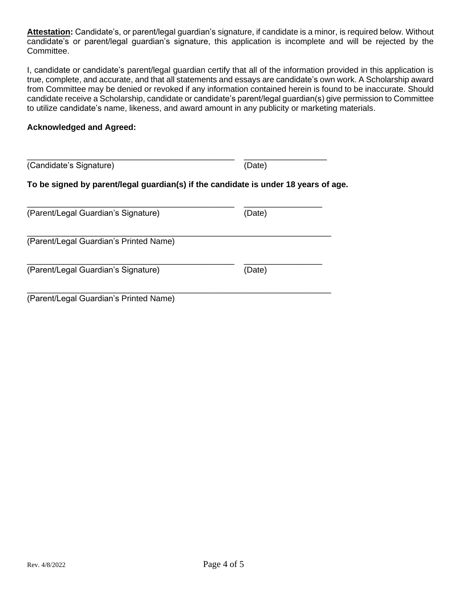**Attestation:** Candidate's, or parent/legal guardian's signature, if candidate is a minor, is required below. Without candidate's or parent/legal guardian's signature, this application is incomplete and will be rejected by the Committee.

I, candidate or candidate's parent/legal guardian certify that all of the information provided in this application is true, complete, and accurate, and that all statements and essays are candidate's own work. A Scholarship award from Committee may be denied or revoked if any information contained herein is found to be inaccurate. Should candidate receive a Scholarship, candidate or candidate's parent/legal guardian(s) give permission to Committee to utilize candidate's name, likeness, and award amount in any publicity or marketing materials.

## **Acknowledged and Agreed:**

| (Candidate's Signature)                                                             | (Date) |  |  |  |  |
|-------------------------------------------------------------------------------------|--------|--|--|--|--|
| To be signed by parent/legal guardian(s) if the candidate is under 18 years of age. |        |  |  |  |  |
| (Parent/Legal Guardian's Signature)                                                 | (Date) |  |  |  |  |
| (Parent/Legal Guardian's Printed Name)                                              |        |  |  |  |  |
| (Parent/Legal Guardian's Signature)                                                 | (Date) |  |  |  |  |
| (Parent/Legal Guardian's Printed Name)                                              |        |  |  |  |  |